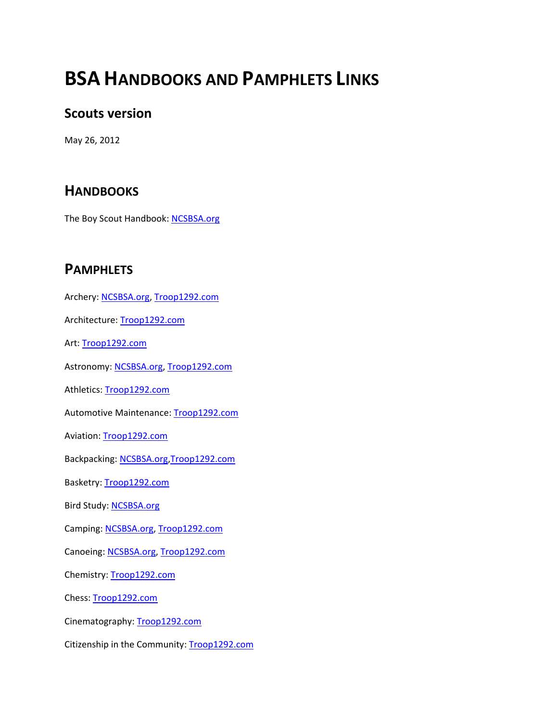## **BSA HANDBOOKS AND PAMPHLETS LINKS**

## **Scouts version**

May 26, 2012

## **HANDBOOKS**

The Boy Scout Handbook: [NCSBSA.org](https://www.ncsbsa.org/resources/general/The%20Boy%20Scout%20Handbook%2034554.pdf)

## **PAMPHLETS**

Archery: [NCSBSA.org,](https://www.ncsbsa.org/resources/general/Archery%20Merit%20Badge%20Pamphlet%2035856.pdf) [Troop1292.com](http://www.troop1292.com/merit%20badge%20pamphlets/Archery%20Merit%20Badge%20Pamphlet.pdf) Architecture: [Troop1292.com](http://www.troop1292.com/merit%20badge%20pamphlets/Architecture%20Merit%20Badge%20Pamphlet.pdf) Art: [Troop1292.com](http://www.troop1292.com/merit%20badge%20pamphlets/Art%20Merit%20Badge%20Pamphlet.pdf) Astronomy[: NCSBSA.org,](https://www.ncsbsa.org/resources/general/Astronomy%20Merit%20Badge%20Pamphlet%2035859.pdf) [Troop1292.com](http://www.troop1292.com/merit%20badge%20pamphlets/Astronomy%20Merit%20Badge%20Pamphlet.pdf) Athletics: [Troop1292.com](http://www.troop1292.com/merit%20badge%20pamphlets/Athletics%20Merit%20Badge%20Pamphlet.pdf) Automotive Maintenance[: Troop1292.com](http://www.troop1292.com/merit%20badge%20pamphlets/Automotive%20Maintenance%20Merit%20Badge%20Pamphlet.pdf) Aviation: [Troop1292.com](http://www.troop1292.com/merit%20badge%20pamphlets/Aviation%20Merit%20Badge%20Pamphlet.pdf) Backpacking: [NCSBSA.org,](https://www.ncsbsa.org/resources/general/Backpacking%20Merit%20Badge%20Pamphlet%2035863.pdf)[Troop1292.com](http://www.troop1292.com/merit%20badge%20pamphlets/Backpacking%20Merit%20Badge%20Pamphlet.pdf) Basketry: [Troop1292.com](http://www.troop1292.com/merit%20badge%20pamphlets/Basketry%20Merit%20Badge%20Pamphlet.pdf) Bird Study: [NCSBSA.org](https://www.ncsbsa.org/resources/general/Bird%20Study%20Merit%20Badge%20Pamphlet%2035865.pdf) Camping: [NCSBSA.org,](https://www.ncsbsa.org/resources/general/Camping%20Merit%20Badge%20Pamphlet%2035866.pdf) [Troop1292.com](http://www.troop1292.com/merit%20badge%20pamphlets/Camping%20Merit%20Badge%20Pamphlet.pdf) Canoeing: [NCSBSA.org,](https://www.ncsbsa.org/resources/general/Canoeing%20Merit%20Badge%20Pamphlet%2035867.pdf) [Troop1292.com](http://www.troop1292.com/merit%20badge%20pamphlets/Canoeing%20Merit%20Badge%20Pamphlet.pdf) Chemistry[: Troop1292.com](http://www.troop1292.com/merit%20badge%20pamphlets/Chemistry%20Merit%20Badge%20Pamphlet.pdf)

Chess: [Troop1292.com](http://www.troop1292.com/merit%20badge%20pamphlets/Chess%20Merit%20Badge%20Pamphlet.pdf)

Cinematography: [Troop1292.com](http://www.troop1292.com/merit%20badge%20pamphlets/Cinematography%20Merit%20Badge%20Pamphlet.pdf)

Citizenship in the Community[: Troop1292.com](http://www.troop1292.com/merit%20badge%20pamphlets/Citizenship%20in%20the%20Community%20Merit%20Badge%20Pamphlet.pdf)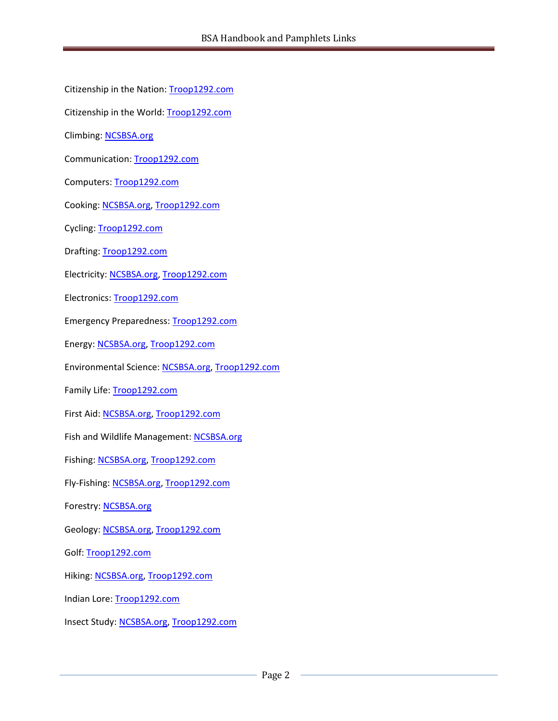- Citizenship in the Nation[: Troop1292.com](http://www.troop1292.com/merit%20badge%20pamphlets/Citizenship%20in%20the%20Nation%20Merit%20Badge%20Pamphlet.pdf)
- Citizenship in the World: [Troop1292.com](http://www.troop1292.com/merit%20badge%20pamphlets/Citizenship%20in%20the%20World%20Merit%20Badge%20Pamphlet.pdf)
- Climbing: [NCSBSA.org](https://www.ncsbsa.org/resources/general/Climbing%20Merit%20Badge%20Pamphlet%2035873.pdf)
- Communication: [Troop1292.com](http://www.troop1292.com/merit%20badge%20pamphlets/Communication%20Merit%20Badge%20Pamphlet.pdf)
- Computers[: Troop1292.com](http://www.troop1292.com/merit%20badge%20pamphlets/Computers%20Merit%20Badge%20Pamphlet.pdf)
- Cooking: [NCSBSA.org,](https://www.ncsbsa.org/resources/general/Cooking%20Merit%20Badge%20Pamphlet%2035879.pdf) [Troop1292.com](http://www.troop1292.com/merit%20badge%20pamphlets/Cooking%20Merit%20Badge%20Pamphlet.pdf)
- Cycling: [Troop1292.com](http://www.troop1292.com/merit%20badge%20pamphlets/Cycling%20Merit%20Badge%20Pamphlet.pdf)
- Drafting[: Troop1292.com](http://www.troop1292.com/merit%20badge%20pamphlets/Drafting%20Merit%20Badge%20Pamphlet.pdf)
- Electricity: [NCSBSA.org,](https://www.ncsbsa.org/resources/general/Electricity%20Merit%20Badge%20Pamphlet%2035886.pdf) [Troop1292.com](http://www.troop1292.com/merit%20badge%20pamphlets/Electricity%20Merit%20Badge%20Pamphlet.pdf)
- Electronics: [Troop1292.com](http://www.troop1292.com/merit%20badge%20pamphlets/Electronics%20Merit%20Badge%20Pamphlet.pdf)
- Emergency Preparedness: [Troop1292.com](http://www.troop1292.com/merit%20badge%20pamphlets/Emergency%20Preparedness%20Merit%20Badge%20Pamphlet.pdf)
- Energy: [NCSBSA.org,](https://www.ncsbsa.org/resources/general/Energy%20Merit%20Badge%20Pamphlet%2035889.pdf) [Troop1292.com](http://www.troop1292.com/merit%20badge%20pamphlets/Energy%20Merit%20Badge%20Pamphlet.pdf)
- Environmental Science: [NCSBSA.org,](https://www.ncsbsa.org/resources/general/Environmental%20Science%20Merit%20Badge%20Pamphlet%2035892.pdf) [Troop1292.com](http://www.troop1292.com/merit%20badge%20pamphlets/Environmental%20Science%20Merit%20Badge%20Pamphlet.pdf)
- Family Life: [Troop1292.com](http://www.troop1292.com/merit%20badge%20pamphlets/Family%20Life%20Merit%20Badge%20Pamphlet.pdf)
- First Aid: [NCSBSA.org,](https://www.ncsbsa.org/resources/general/First%20Aid%20Merit%20Badge%20Pamphlet%2035897.pdf) [Troop1292.com](http://www.troop1292.com/merit%20badge%20pamphlets/First%20Aid%20Merit%20Badge%20Pamphlet.pdf)
- Fish and Wildlife Management: [NCSBSA.org](https://www.ncsbsa.org/resources/general/Fish%20and%20Wildlife%20Management%20Merit%20Badge%20Pamphlet%2035898.pdf)
- Fishing: [NCSBSA.org,](https://www.ncsbsa.org/resources/general/Fishing%20Merit%20Badge%20Pamphlet%2035899.pdf) [Troop1292.com](http://www.troop1292.com/merit%20badge%20pamphlets/Fishing%20Merit%20Badge%20Pamphlet.pdf)
- Fly-Fishing: [NCSBSA.org,](https://www.ncsbsa.org/resources/general/Fly-Fishing%20Merit%20Badge%20Pamphlet%2035900.pdf) [Troop1292.com](http://www.troop1292.com/merit%20badge%20pamphlets/Fly%20Fishing%20Merit%20Badge%20Pamphlet.pdf)
- Forestry: [NCSBSA.org](https://www.ncsbsa.org/resources/general/Forestry%20Merit%20Badge%20Pamphlet%2035901.pdf)
- Geology: [NCSBSA.org,](https://www.ncsbsa.org/resources/general/Geology%20Merit%20Badge%20Pamphlet%2035904.pdf) [Troop1292.com](http://www.troop1292.com/merit%20badge%20pamphlets/Geology%20Merit%20Badge%20Pamphlet.pdf)
- Golf: [Troop1292.com](http://www.troop1292.com/merit%20badge%20pamphlets/Golf%20Merit%20Badge%20Pamphlet.pdf)
- Hiking: [NCSBSA.org,](https://www.ncsbsa.org/resources/general/Hiking%20Merit%20Badge%20Pamphlet%2035907.pdf) [Troop1292.com](http://www.troop1292.com/merit%20badge%20pamphlets/Hiking%20Merit%20Badge%20Pamphlet.pdf)
- Indian Lore: [Troop1292.com](http://www.troop1292.com/merit%20badge%20pamphlets/Indian%20Lore%20Merit%20Badge%20Pamphlet.pdf)
- Insect Study[: NCSBSA.org,](https://www.ncsbsa.org/resources/general/Insect%20Study%20Merit%20Badge%20Pamphlet%2035911.pdf) [Troop1292.com](http://www.troop1292.com/merit%20badge%20pamphlets/Insect%20Study%20Merit%20Badge%20Pamphlet.pdf)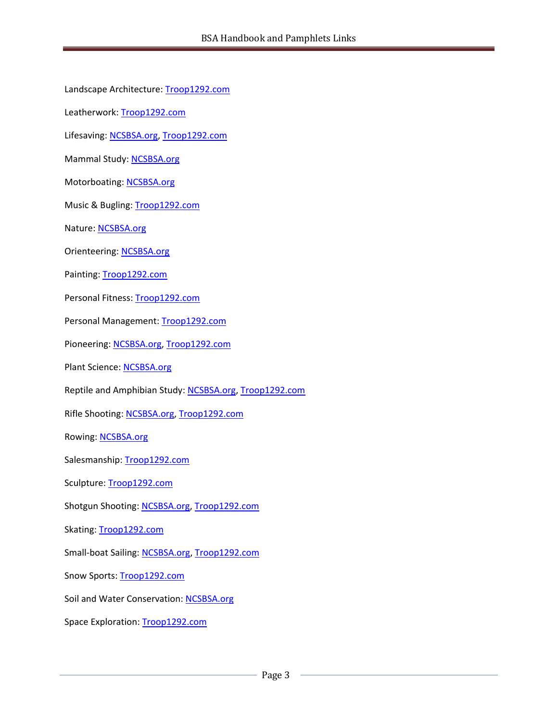Landscape Architecture: [Troop1292.com](http://www.troop1292.com/merit%20badge%20pamphlets/Landscape%20Architecture%20Merit%20Badge%20Pamphlet.pdf) Leatherwork: [Troop1292.com](http://www.troop1292.com/merit%20badge%20pamphlets/Leatherwork%20Merit%20Badge%20Pamphlet.pdf) Lifesaving: [NCSBSA.org,](https://www.ncsbsa.org/resources/general/Lifesaving%20Merit%20Badge%20Pamphlet%2035915.pdf) [Troop1292.com](http://www.troop1292.com/merit%20badge%20pamphlets/Lifesaving%20Merit%20Badge%20Pamphlet.pdf)

Mammal Study: [NCSBSA.org](https://www.ncsbsa.org/resources/general/Mammal%20Study%20Merit%20Badge%20Pamphlet%2035916.pdf)

Motorboating: [NCSBSA.org](https://www.ncsbsa.org/resources/general/Motorboating%20Merit%20Badge%20Pamphlet%2035920.pdf)

Music & Bugling: [Troop1292.com](http://www.troop1292.com/merit%20badge%20pamphlets/Music%20&%20Bugling%20Merit%20Badge%20Pamphlet.pdf)

Nature: [NCSBSA.org](https://www.ncsbsa.org/resources/general/Nature%20Merit%20Badge%20Pamphlet%2035922.pdf)

Orienteering: [NCSBSA.org](https://www.ncsbsa.org/resources/general/Orienteering%20MB%2035925_low.pdf)

Painting[: Troop1292.com](http://www.troop1292.com/merit%20badge%20pamphlets/Painting%20Merit%20Badge%20Pamphlet.pdf)

Personal Fitness[: Troop1292.com](http://www.troop1292.com/merit%20badge%20pamphlets/Personal%20Fitness%20Merit%20Badge%20Pamphlet.pdf)

Personal Management: [Troop1292.com](http://www.troop1292.com/merit%20badge%20pamphlets/Personal%20Management%20Merit%20Badge%20Pamphlet.pdf)

Pioneering: [NCSBSA.org,](https://www.ncsbsa.org/resources/general/Pioneering%20Merit%20Badge%20Pamphlet%2035931.pdf) [Troop1292.com](http://www.troop1292.com/merit%20badge%20pamphlets/Pioneering%20Merit%20Badge%20Pamphlet.pdf)

Plant Science: [NCSBSA.org](https://www.ncsbsa.org/resources/general/Plant%20Science%20Merit%20Badge%20Pamphlet%2035932.pdf)

Reptile and Amphibian Study: [NCSBSA.org,](https://www.ncsbsa.org/resources/general/Reptile%20and%20Amphibian%20Study%20Merit%20Badge%20Pamphlet%2035941.pdf) [Troop1292.com](http://www.troop1292.com/merit%20badge%20pamphlets/Reptile%20and%20Amphibian%20Study%20Merit%20Badge%20Pamphlet.pdf)

Rifle Shooting: [NCSBSA.org,](https://www.ncsbsa.org/resources/general/Rifle%20Shooting%20Merit%20Badge%20Pamphlet%2035942.pdf) [Troop1292.com](http://www.troop1292.com/merit%20badge%20pamphlets/Rifle%20Shooting%20Merit%20Badge%20Pamphlet.pdf)

Rowing: **NCSBSA.org** 

Salesmanship: [Troop1292.com](http://www.troop1292.com/merit%20badge%20pamphlets/Salesmanship%20Merit%20Badge%20Pamphlet.pdf)

Sculpture: [Troop1292.com](http://www.troop1292.com/merit%20badge%20pamphlets/Sculpture%20Merit%20Badge%20Pamphlet.pdf)

Shotgun Shooting: [NCSBSA.org,](https://www.ncsbsa.org/resources/general/Shotgun%20Shooting%20Merit%20Badge%20Pamphlet%2035948.pdf) [Troop1292.com](http://www.troop1292.com/merit%20badge%20pamphlets/Shotgun%20Shooting%20Merit%20Badge%20Pamphlet.pdf)

Skating: [Troop1292.com](http://www.troop1292.com/merit%20badge%20pamphlets/Skating%20Merit%20Badge%20Pamphlet.pdf)

Small-boat Sailing[: NCSBSA.org,](https://www.ncsbsa.org/resources/general/Small-boat%20Sailing%20Merit%20Badge%20Pamphlet%2035950.pdf) [Troop1292.com](http://www.troop1292.com/merit%20badge%20pamphlets/Small-Boat%20Sailing%20Merit%20Badge%20Pamphlet.pdf)

Snow Sports[: Troop1292.com](http://www.troop1292.com/merit%20badge%20pamphlets/Snow%20Sports%20Merit%20Badge%20Pamphlet.pdf)

Soil and Water Conservation[: NCSBSA.org](https://www.ncsbsa.org/resources/general/Soil%20and%20Water%20Conservation%20Merit%20Badge%20Pamphlet%2035952.pdf)

Space Exploration: [Troop1292.com](http://www.troop1292.com/merit%20badge%20pamphlets/Space%20Exploration%20Merit%20Badge%20Pamphlet.pdf)